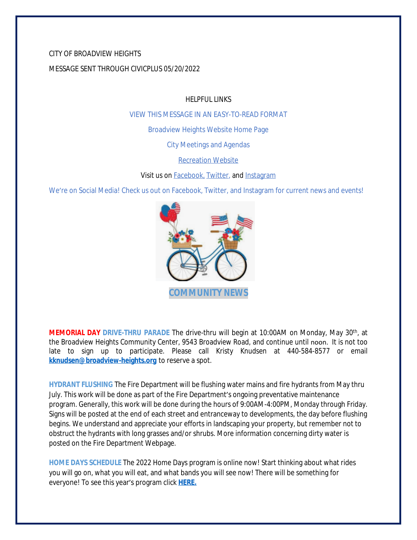### CITY OF BROADVIEW HEIGHTS

### MESSAGE SENT THROUGH CIVICPLUS 05/20/2022

HELPFUL LINKS

[VIEW THIS MESSAGE IN AN EASY-TO-READ FORMAT](https://www.broadview-heights.org/Archive.aspx?AMID=37)

[Broadview Heights Website Home Page](https://www.broadview-heights.org/)

[City Meetings and Agendas](https://www.broadview-heights.org/1126/Agendas-Meeting-Minutes)

[Recreation Website](https://broadview-heights.org/292/Parks-Recreation)

Visit us on **Facebook**, [Twitter,](https://twitter.com/broadviewhts) and [Instagram](https://www.instagram.com/cityofbroadviewheights/)

We're on Social Media! Check us out on Facebook, Twitter, and Instagram for current news and events!



**MEMORIAL DAY DRIVE-THRU PARADE** The drive-thru will begin at 10:00AM on Monday, May 30th , at the Broadview Heights Community Center, 9543 Broadview Road, and continue until noon. It is not too late to sign up to participate. Please call Kristy Knudsen at 440-584-8577 or email **[kknudsen@broadview-heights.org](mailto:kknudsen@broadview-heights.org)** to reserve a spot.

**HYDRANT FLUSHING** The Fire Department will be flushing water mains and fire hydrants from May thru July. This work will be done as part of the Fire Department's ongoing preventative maintenance program. Generally, this work will be done during the hours of 9:00AM-4:00PM, Monday through Friday. Signs will be posted at the end of each street and entranceway to developments, the day before flushing begins. We understand and appreciate your efforts in landscaping your property, but remember not to obstruct the hydrants with long grasses and/or shrubs. More information concerning dirty water is posted on the Fire Department Webpage.

**HOME DAYS SCHEDULE** The 2022 Home Days program is online now! Start thinking about what rides you will go on, what you will eat, and what bands you will see now! There will be something for everyone! To see this year's program click **[HERE.](https://www.canva.com/design/DAE_rHLKtkA/AIFd_O5zMak0QjlSIEjVgQ/view?utm_content=DAE_rHLKtkA&utm_campaign=share_your_design&utm_medium=link&utm_source=shareyourdesignpanel%2311)**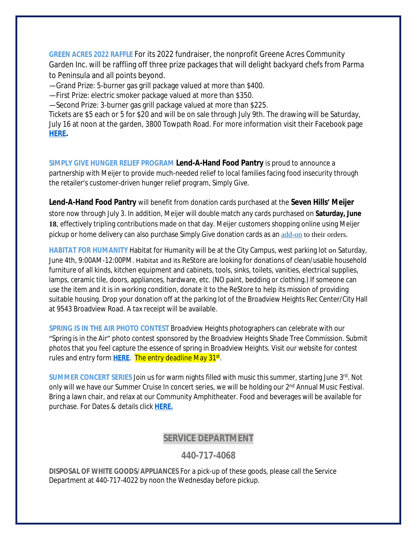**GREEN ACRES 2022 RAFFLE** For its 2022 fundraiser, the nonprofit Greene Acres Community Garden Inc. will be raffling off three prize packages that will delight backyard chefs from Parma to Peninsula and all points beyond.

—Grand Prize: 5-burner gas grill package valued at more than \$400.

—First Prize: electric smoker package valued at more than \$350.

—Second Prize: 3-burner gas grill package valued at more than \$225.

Tickets are \$5 each or 5 for \$20 and will be on sale through July 9th. The drawing will be Saturday, July 16 at noon at the garden, 3800 Towpath Road. For more information visit their Facebook page **[HERE.](https://www.facebook.com/greeneacresCG/)**

**SIMPLY GIVE HUNGER RELIEF PROGRAM Lend-A-Hand Food Pantry** is proud to announce a partnership with Meijer to provide much-needed relief to local families facing food insecurity through the retailer's customer-driven hunger relief program, *Simply Give*.

**Lend-A-Hand Food Pantry** will benefit from donation cards purchased at the **Seven Hills' Meijer** store now through July 3. In addition, Meijer will double match any cards purchased on **Saturday, June 18**, effectively tripling contributions made on that day. Meijer customers shopping online using Meijer pickup or home delivery can also purchase *Simply Give* donation cards as an [add-on](https://www.meijer.com/shopping/product/simply-give-10-food-pantry-donation/70882088231.html?icid=Redirect:SimplyGive) to their orders.

**HABITAT FOR HUMANITY** Habitat for Humanity will be at the City Campus, west parking lot on Saturday, June 4th, 9:00AM-12:00PM. Habitat and its ReStore are looking for donations of clean/usable household furniture of all kinds, kitchen equipment and cabinets, tools, sinks, toilets, vanities, electrical supplies, lamps, ceramic tile, doors, appliances, hardware, etc. (NO paint, bedding or clothing.) If someone can use the item and it is in working condition, donate it to the ReStore to help its mission of providing suitable housing. Drop your donation off at the parking lot of the Broadview Heights Rec Center/City Hall at 9543 Broadview Road. A tax receipt will be available.

**SPRING IS IN THE AIR PHOTO CONTEST** Broadview Heights photographers can celebrate with our "Spring is in the Air" photo contest sponsored by the Broadview Heights Shade Tree Commission. Submit photos that you feel capture the essence of spring in Broadview Heights. Visit our website for contest rules and entry form <mark>[HERE](https://broadview-heights.org/1524/Spring-Photo-Contest)</mark>. The entry deadline May 31<sup>st</sup>.

**SUMMER CONCERT SERIES** Join us for warm nights filled with music this summer, starting June 3rd. Not only will we have our Summer Cruise In concert series, we will be holding our 2<sup>nd</sup> Annual Music Festival. Bring a lawn chair, and relax at our Community Amphitheater. Food and beverages will be available for purchase. For Dates & details click **[HERE.](https://broadview-heights.org/ImageRepository/Document?documentId=9488)**

# **SERVICE DEPARTMENT**

# **440-717-4068**

**DISPOSAL OF WHITE GOODS/APPLIANCES** For a pick-up of these goods, please call the Service Department at 440-717-4022 by noon the Wednesday before pickup.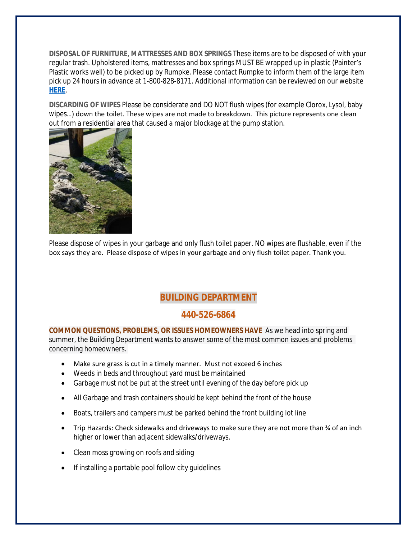**DISPOSAL OF FURNITURE, MATTRESSES AND BOX SPRINGS** These items are to be disposed of with your regular trash. Upholstered items, mattresses and box springs MUST BE wrapped up in plastic (Painter's Plastic works well) to be picked up by Rumpke. Please contact Rumpke to inform them of the large item pick up 24 hours in advance at 1-800-828-8171. Additional information can be reviewed on our website **[HERE](https://www.broadview-heights.org/1027/Garbage-Recycling)**.

**DISCARDING OF WIPES** Please be considerate and DO NOT flush wipes (for example Clorox, Lysol, baby wipes…) down the toilet. These wipes are not made to breakdown. This picture represents one clean out from a residential area that caused a major blockage at the pump station.



Please dispose of wipes in your garbage and only flush toilet paper. NO wipes are flushable, even if the box says they are. Please dispose of wipes in your garbage and only flush toilet paper. Thank you.

# **BUILDING DEPARTMENT**

# **440-526-6864**

**COMMON QUESTIONS, PROBLEMS, OR ISSUES HOMEOWNERS HAVE** As we head into spring and summer, the Building Department wants to answer some of the most common issues and problems concerning homeowners.

- Make sure grass is cut in a timely manner. Must not exceed 6 inches
- Weeds in beds and throughout yard must be maintained
- Garbage must not be put at the street until evening of the day before pick up
- All Garbage and trash containers should be kept behind the front of the house
- Boats, trailers and campers must be parked behind the front building lot line
- Trip Hazards: Check sidewalks and driveways to make sure they are not more than ¾ of an inch higher or lower than adjacent sidewalks/driveways.
- Clean moss growing on roofs and siding
- If installing a portable pool follow city guidelines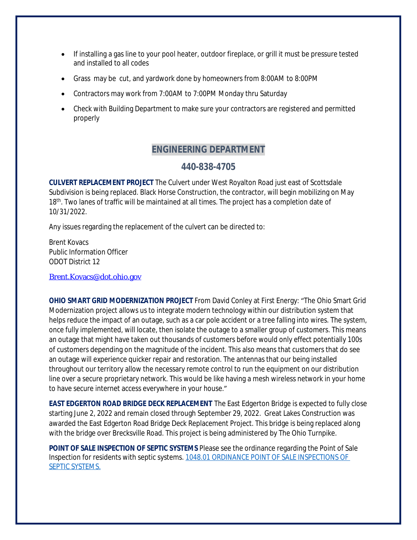- If installing a gas line to your pool heater, outdoor fireplace, or grill it must be pressure tested and installed to all codes
- Grass may be cut, and yardwork done by homeowners from 8:00AM to 8:00PM
- Contractors may work from 7:00AM to 7:00PM Monday thru Saturday
- Check with Building Department to make sure your contractors are registered and permitted properly

# **ENGINEERING DEPARTMENT**

### **440-838-4705**

**CULVERT REPLACEMENT PROJECT** The Culvert under West Royalton Road just east of Scottsdale Subdivision is being replaced. Black Horse Construction, the contractor, will begin mobilizing on May 18<sup>th</sup>. Two lanes of traffic will be maintained at all times. The project has a completion date of 10/31/2022.

Any issues regarding the replacement of the culvert can be directed to:

Brent Kovacs Public Information Officer ODOT District 12

[Brent.Kovacs@dot.ohio.gov](mailto:Brent.Kovacs@dot.ohio.gov)

**OHIO SMART GRID MODERNIZATION PROJECT** From David Conley at First Energy: "The Ohio Smart Grid Modernization project allows us to integrate modern technology within our distribution system that helps reduce the impact of an outage, such as a car pole accident or a tree falling into wires. The system, once fully implemented, will locate, then isolate the outage to a smaller group of customers. This means an outage that might have taken out thousands of customers before would only effect potentially 100s of customers depending on the magnitude of the incident. This also means that customers that do see an outage will experience quicker repair and restoration. The antennas that our being installed throughout our territory allow the necessary remote control to run the equipment on our distribution line over a secure proprietary network. This would be like having a mesh wireless network in your home to have secure internet access everywhere in your house."

**EAST EDGERTON ROAD BRIDGE DECK REPLACEMENT** The East Edgerton Bridge is expected to fully close starting June 2, 2022 and remain closed through September 29, 2022. Great Lakes Construction was awarded the East Edgerton Road Bridge Deck Replacement Project. This bridge is being replaced along with the bridge over Brecksville Road. This project is being administered by The Ohio Turnpike.

**POINT OF SALE INSPECTION OF SEPTIC SYSTEMS** Please see the ordinance regarding the Point of Sale Inspection for residents with septic systems. [1048.01 ORDINANCE POINT OF SALE INSPECTIONS OF](https://codelibrary.amlegal.com/codes/broadviewhts/latest/broadview_oh/0-0-0-13398)  SEPTIC SYSTEMS.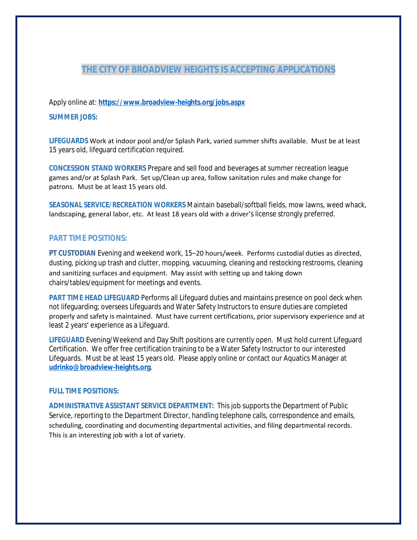# **THE CITY OF BROADVIEW HEIGHTS IS ACCEPTING APPLICATIONS**

Apply online at: **<https://www.broadview-heights.org/jobs.aspx>**

#### **SUMMER JOBS:**

**LIFEGUARDS** Work at indoor pool and/or Splash Park, varied summer shifts available. Must be at least 15 years old, lifeguard certification required.

**CONCESSION STAND WORKERS** Prepare and sell food and beverages at summer recreation league games and/or at Splash Park. Set up/Clean up area, follow sanitation rules and make change for patrons. Must be at least 15 years old.

**SEASONAL SERVICE/RECREATION WORKERS** Maintain baseball/softball fields, mow lawns, weed whack, landscaping, general labor, etc. At least 18 years old with a driver's license strongly preferred.

### **PART TIME POSITIONS:**

**PT CUSTODIAN** Evening and weekend work, 15–20 hours/week. Performs custodial duties as directed, dusting, picking up trash and clutter, mopping, vacuuming, cleaning and restocking restrooms, cleaning and sanitizing surfaces and equipment. May assist with setting up and taking down chairs/tables/equipment for meetings and events.

**PART TIME HEAD LIFEGUARD** Performs all Lifeguard duties and maintains presence on pool deck when not lifeguarding; oversees Lifeguards and Water Safety Instructors to ensure duties are completed properly and safety is maintained. Must have current certifications, prior supervisory experience and at least 2 years' experience as a Lifeguard.

**LIFEGUARD** Evening/Weekend and Day Shift positions are currently open. Must hold current Lifeguard Certification. We offer free certification training to be a Water Safety Instructor to our interested Lifeguards. Must be at least 15 years old. Please apply online or contact our Aquatics Manager at **[udrinko@broadview-heights.org](mailto:udrinko@broadview-heights.org)**.

### **FULL TIME POSITIONS:**

**ADMINISTRATIVE ASSISTANT SERVICE DEPARTMENT:** This job supports the Department of Public Service, reporting to the Department Director, handling telephone calls, correspondence and emails, scheduling, coordinating and documenting departmental activities, and filing departmental records. This is an interesting job with a lot of variety.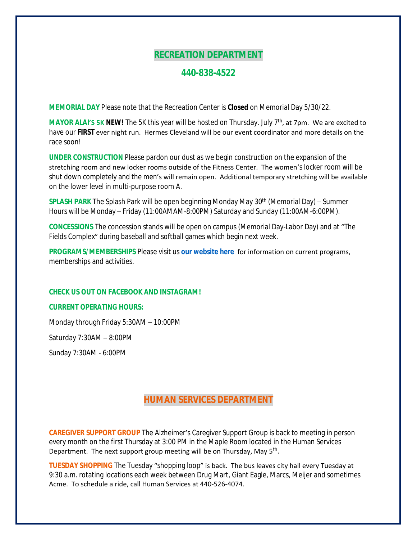# **RECREATION DEPARTMENT**

### **440-838-4522**

**MEMORIAL DAY** Please note that the Recreation Center is **Closed** on Memorial Day 5/30/22.

**MAYOR ALAI'S 5K NEW!** The 5K this year will be hosted on Thursday. July 7<sup>th</sup>, at 7pm. We are excited to have our **FIRST** ever night run. Hermes Cleveland will be our event coordinator and more details on the race soon!

**UNDER CONSTRUCTION** Please pardon our dust as we begin construction on the expansion of the stretching room and new locker rooms outside of the Fitness Center. The women's locker room will be shut down completely and the men's will remain open. Additional temporary stretching will be available on the lower level in multi-purpose room A.

**SPLASH PARK** The Splash Park will be open beginning Monday May 30th (Memorial Day) – Summer Hours will be Monday – Friday (11:00AMAM-8:00PM) Saturday and Sunday (11:00AM-6:00PM).

**CONCESSIONS** The concession stands will be open on campus (Memorial Day-Labor Day) and at "The Fields Complex" during baseball and softball games which begin next week.

**PROGRAMS/MEMBERSHIPS** Please visit us **[our website here](https://www.broadview-heights.org/292/Parks-Recreation)** for information on current programs, memberships and activities.

#### **CHECK US OUT ON FACEBOOK AND INSTAGRAM!**

#### **CURRENT OPERATING HOURS:**

Monday through Friday 5:30AM – 10:00PM

Saturday 7:30AM – 8:00PM

Sunday 7:30AM - 6:00PM

# **HUMAN SERVICES DEPARTMENT**

**CAREGIVER SUPPORT GROUP** The Alzheimer's Caregiver Support Group is back to meeting in person every month on the first Thursday at 3:00 PM in the Maple Room located in the Human Services Department. The next support group meeting will be on Thursday, May 5<sup>th</sup>.

**TUESDAY SHOPPING** The Tuesday "shopping loop" is back. The bus leaves city hall every Tuesday at 9:30 a.m. rotating locations each week between Drug Mart, Giant Eagle, Marcs, Meijer and sometimes Acme. To schedule a ride, call Human Services at 440-526-4074.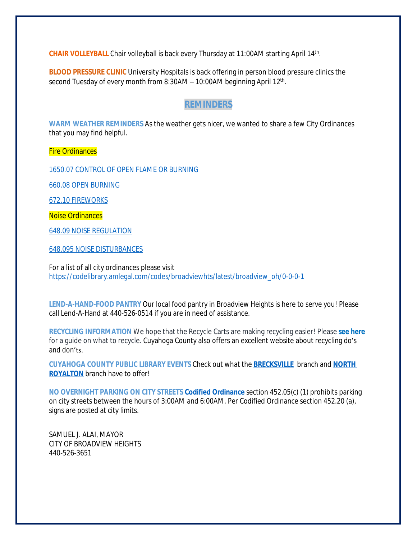CHAIR VOLLEYBALL Chair volleyball is back every Thursday at 11:00AM starting April 14<sup>th</sup>.

**BLOOD PRESSURE CLINIC** University Hospitals is back offering in person blood pressure clinics the second Tuesday of every month from 8:30AM - 10:00AM beginning April 12<sup>th</sup>.

### **REMINDERS**

**WARM WEATHER REMINDERS** As the weather gets nicer, we wanted to share a few City Ordinances that you may find helpful.

Fire Ordinances

[1650.07 CONTROL OF OPEN FLAME OR BURNING](https://codelibrary.amlegal.com/codes/broadviewhts/latest/broadview_oh/0-0-0-19759#JD_1650.07)

[660.08 OPEN BURNING](https://codelibrary.amlegal.com/codes/broadviewhts/latest/broadview_oh/0-0-0-9310#JD_660.08)

[672.10 FIREWORKS](https://codelibrary.amlegal.com/codes/broadviewhts/latest/broadview_oh/0-0-0-10047#JD_672.10)

Noise Ordinances

[648.09 NOISE REGULATION](https://codelibrary.amlegal.com/codes/broadviewhts/latest/broadview_oh/0-0-0-9163)

[648.095 NOISE DISTURBANCES](https://codelibrary.amlegal.com/codes/broadviewhts/latest/broadview_oh/0-0-0-9179)

For a list of all city ordinances please visit [https://codelibrary.amlegal.com/codes/broadviewhts/latest/broadview\\_oh/0-0-0-1](https://codelibrary.amlegal.com/codes/broadviewhts/latest/broadview_oh/0-0-0-1)

**LEND-A-HAND-FOOD PANTRY** Our local food pantry in Broadview Heights is here to serve you! Please call Lend-A-Hand at 440-526-0514 if you are in need of assistance.

**RECYCLING INFORMATION** We hope that the Recycle Carts are making recycling easier! Please **[see here](https://broadview-heights.org/DocumentCenter/View/9125/Curbside-Recycling-in-Broadview-Heights-010622)** for a guide on what to recycle. Cuyahoga County also offers an excellent website about recycling do's and don'ts.

**CUYAHOGA COUNTY PUBLIC LIBRARY EVENTS** Check out what the **[BRECKSVILLE](https://attend.cuyahogalibrary.org/events?r=thismonth)** branch and **[NORTH](https://attend.cuyahogalibrary.org/events?r=thismonth)  ROYALTON** branch have to offer!

**NO OVERNIGHT PARKING ON CITY STREETS [Codified Ordinance](http://library.amlegal.com/nxt/gateway.dll/Ohio/broadviewhts/codifiedordinancesofbroadviewheightsohio?f=templates$fn=default.htm$3.0$vid=amlegal:broadviewhts_oh)** section 452.05(c) (1) prohibits parking on city streets between the hours of 3:00AM and 6:00AM. Per Codified Ordinance section 452.20 (a), signs are posted at city limits.

SAMUEL J. ALAI, MAYOR CITY OF BROADVIEW HEIGHTS 440-526-3651